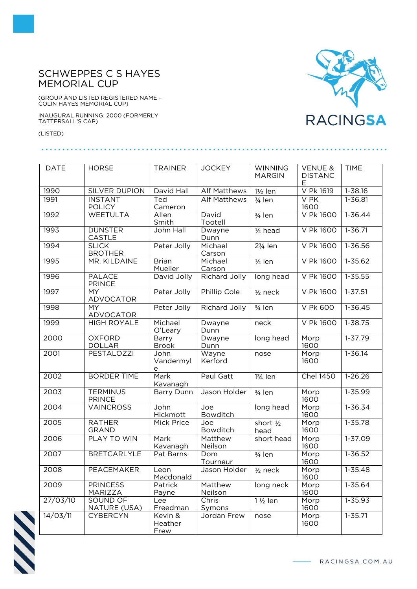## SCHWEPPES C S HAYES MEMORIAL CUP

(GROUP AND LISTED REGISTERED NAME – COLIN HAYES MEMORIAL CUP)

INAUGURAL RUNNING: 2000 (FORMERLY TATTERSALL'S CAP)

(LISTED)



| <b>DATE</b> | <b>HORSE</b>                   | <b>TRAINER</b> | <b>JOCKEY</b>        | <b>WINNING</b>       | <b>VENUE &amp;</b> | <b>TIME</b> |
|-------------|--------------------------------|----------------|----------------------|----------------------|--------------------|-------------|
|             |                                |                |                      | <b>MARGIN</b>        | <b>DISTANC</b>     |             |
|             |                                |                |                      |                      | Е                  |             |
| 1990        | SILVER DUPION                  | David Hall     | <b>Alf Matthews</b>  | $1\frac{1}{2}$ len   | V Pk 1619          | 1-38.16     |
| 1991        | <b>INSTANT</b>                 | Ted            | <b>Alf Matthews</b>  | 3/ <sub>4</sub> len  | V <sub>PK</sub>    | $1 - 36.81$ |
|             | <b>POLICY</b>                  | Cameron        |                      |                      | 1600               |             |
| 1992        | <b>WEETULTA</b>                | Allen          | David                | $\frac{3}{4}$ len    | <b>V Pk 1600</b>   | $1 - 36.44$ |
|             |                                | Smith          | Tootell              |                      |                    |             |
| 1993        | <b>DUNSTER</b>                 | John Hall      | Dwayne               | $1/2$ head           | V Pk 1600          | $1 - 36.71$ |
| 1994        | CASTLE<br><b>SLICK</b>         | Peter Jolly    | Dunn<br>Michael      |                      | V Pk 1600          |             |
|             |                                |                |                      | 23/ <sub>4</sub> len |                    | 1-36.56     |
| 1995        | <b>BROTHER</b><br>MR. KILDAINE | <b>Brian</b>   | Carson<br>Michael    |                      | V Pk 1600          | 1-35.62     |
|             |                                | Mueller        | Carson               | $1/2$ len            |                    |             |
| 1996        | <b>PALACE</b>                  | David Jolly    | <b>Richard Jolly</b> | long head            | V Pk 1600          | $1 - 35.55$ |
|             | <b>PRINCE</b>                  |                |                      |                      |                    |             |
| 1997        | $\overline{MY}$                | Peter Jolly    | Phillip Cole         | $1/2$ neck           | V Pk 1600          | $1 - 37.51$ |
|             | <b>ADVOCATOR</b>               |                |                      |                      |                    |             |
| 1998        | MY                             | Peter Jolly    | Richard Jolly        | $\frac{3}{4}$ len    | V Pk 600           | $1 - 36.45$ |
|             | ADVOCATOR                      |                |                      |                      |                    |             |
| 1999        | <b>HIGH ROYALE</b>             | Michael        | Dwayne               | neck                 | V Pk 1600          | $1 - 38.75$ |
|             |                                | O'Leary        | Dunn                 |                      |                    |             |
| 2000        | <b>OXFORD</b>                  | Barry          | Dwayne               | long head            | Morp               | $1 - 37.79$ |
|             | <b>DOLLAR</b>                  | <b>Brook</b>   | Dunn                 |                      | 1600               |             |
| 2001        | PESTALOZZI                     | John           | Wayne                | nose                 | Morp               | $1 - 36.14$ |
|             |                                | Vandermyl      | Kerford              |                      | 1600               |             |
|             |                                | e              |                      |                      |                    |             |
| 2002        | <b>BORDER TIME</b>             | Mark           | Paul Gatt            | 13/ <sub>4</sub> len | <b>Chel 1450</b>   | $1-26.26$   |
|             |                                | Kavanagh       |                      |                      |                    |             |
| 2003        | <b>TERMINUS</b>                | Barry Dunn     | Jason Holder         | $\frac{3}{4}$ len    | Morp               | 1-35.99     |
|             | <b>PRINCE</b>                  |                |                      |                      | 1600               |             |
| 2004        | <b>VAINCROSS</b>               | John           | Joe                  | long head            | Morp               | 1-36.34     |
|             |                                | Hickmott       | Bowditch             |                      | 1600               |             |
| 2005        | <b>RATHER</b>                  | Mick Price     | Joe                  | short 1/2            | Morp               | $1 - 35.78$ |
|             | <b>GRAND</b>                   |                | Bowditch             | head                 | 1600               |             |
| 2006        | PLAY TO WIN                    | Mark           | Matthew              | short head           | Morp               | $1 - 37.09$ |
|             |                                | Kavanagh       | Neilson              |                      | 1600               |             |
| 2007        | <b>BRETCARLYLE</b>             | Pat Barns      | Dom                  | 3/ <sub>4</sub> len  | Morp               | $1 - 36.52$ |
|             |                                |                | Tourneur             |                      | 1600               |             |
| 2008        | PEACEMAKER                     | Leon           | Jason Holder         | $\frac{1}{2}$ neck   | Morp               | $1 - 35.48$ |
|             |                                | Macdonald      |                      |                      | 1600               |             |
| 2009        | <b>PRINCESS</b>                | Patrick        | Matthew              | long neck            | Morp               | $1 - 35.64$ |
|             | MARIZZA                        | Payne          | Neilson              |                      | 1600               |             |
| 27/03/10    | SOUND OF                       | Lee            | Chris                | $1\frac{1}{2}$ len   | Morp               | $1 - 35.93$ |
|             | NATURE (USA)                   | Freedman       | Symons               |                      | 1600               |             |
| 14/03/11    | <b>CYBERCYN</b>                | Kevin &        | Jordan Frew          | nose                 | Morp               | $1 - 35.71$ |
|             |                                | Heather        |                      |                      | 1600               |             |
|             |                                | Frew           |                      |                      |                    |             |